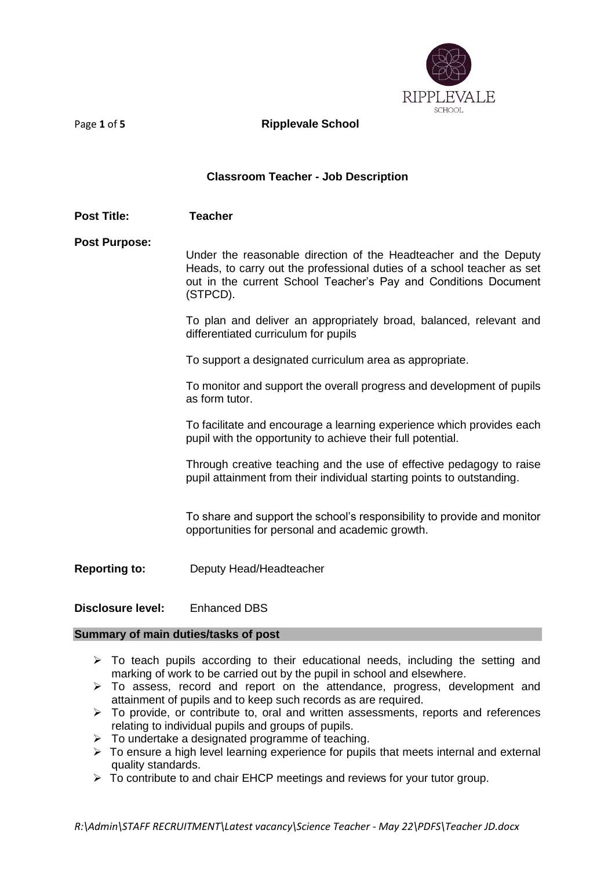

Page **1** of **5 Ripplevale School** 

### **Classroom Teacher - Job Description**

### **Post Title: Teacher**

**Post Purpose:**

Under the reasonable direction of the Headteacher and the Deputy Heads, to carry out the professional duties of a school teacher as set out in the current School Teacher's Pay and Conditions Document (STPCD).

To plan and deliver an appropriately broad, balanced, relevant and differentiated curriculum for pupils

To support a designated curriculum area as appropriate.

To monitor and support the overall progress and development of pupils as form tutor.

To facilitate and encourage a learning experience which provides each pupil with the opportunity to achieve their full potential.

Through creative teaching and the use of effective pedagogy to raise pupil attainment from their individual starting points to outstanding.

To share and support the school's responsibility to provide and monitor opportunities for personal and academic growth.

- **Reporting to:** Deputy Head/Headteacher
- **Disclosure level:** Enhanced DBS

#### **Summary of main duties/tasks of post**

- ➢ To teach pupils according to their educational needs, including the setting and marking of work to be carried out by the pupil in school and elsewhere.
- $\triangleright$  To assess, record and report on the attendance, progress, development and attainment of pupils and to keep such records as are required.
- ➢ To provide, or contribute to, oral and written assessments, reports and references relating to individual pupils and groups of pupils.
- $\triangleright$  To undertake a designated programme of teaching.
- ➢ To ensure a high level learning experience for pupils that meets internal and external quality standards.
- ➢ To contribute to and chair EHCP meetings and reviews for your tutor group.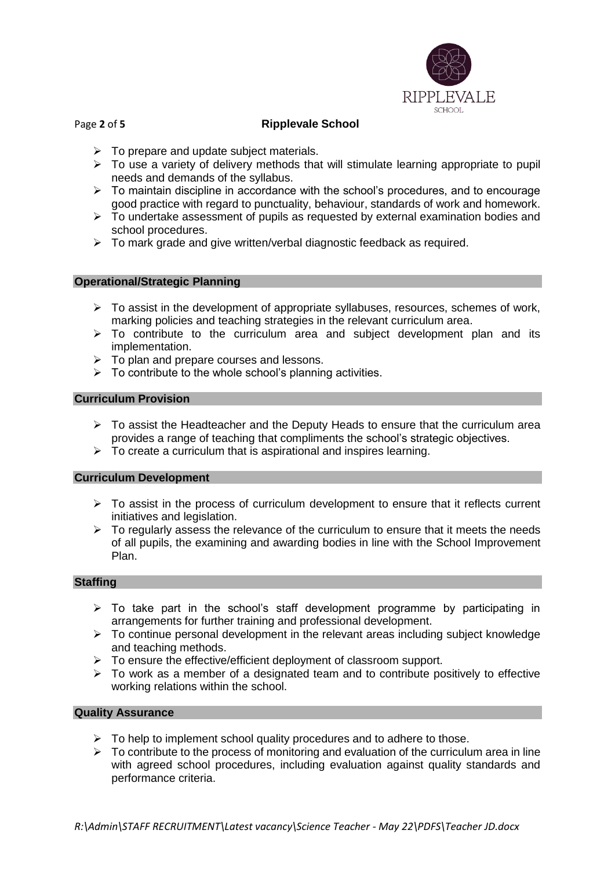

# Page **2** of **5 Ripplevale School**

- $\triangleright$  To prepare and update subject materials.
- ➢ To use a variety of delivery methods that will stimulate learning appropriate to pupil needs and demands of the syllabus.
- ➢ To maintain discipline in accordance with the school's procedures, and to encourage good practice with regard to punctuality, behaviour, standards of work and homework.
- ➢ To undertake assessment of pupils as requested by external examination bodies and school procedures.
- ➢ To mark grade and give written/verbal diagnostic feedback as required.

#### **Operational/Strategic Planning**

- $\triangleright$  To assist in the development of appropriate syllabuses, resources, schemes of work, marking policies and teaching strategies in the relevant curriculum area.
- $\triangleright$  To contribute to the curriculum area and subject development plan and its implementation.
- ➢ To plan and prepare courses and lessons.
- ➢ To contribute to the whole school's planning activities.

#### **Curriculum Provision**

- $\triangleright$  To assist the Headteacher and the Deputy Heads to ensure that the curriculum area provides a range of teaching that compliments the school's strategic objectives.
- $\triangleright$  To create a curriculum that is aspirational and inspires learning.

#### **Curriculum Development**

- $\triangleright$  To assist in the process of curriculum development to ensure that it reflects current initiatives and legislation.
- $\triangleright$  To regularly assess the relevance of the curriculum to ensure that it meets the needs of all pupils, the examining and awarding bodies in line with the School Improvement Plan.

#### **Staffing**

- $\triangleright$  To take part in the school's staff development programme by participating in arrangements for further training and professional development.
- $\triangleright$  To continue personal development in the relevant areas including subject knowledge and teaching methods.
- ➢ To ensure the effective/efficient deployment of classroom support.
- ➢ To work as a member of a designated team and to contribute positively to effective working relations within the school.

## **Quality Assurance**

- $\triangleright$  To help to implement school quality procedures and to adhere to those.
- $\triangleright$  To contribute to the process of monitoring and evaluation of the curriculum area in line with agreed school procedures, including evaluation against quality standards and performance criteria.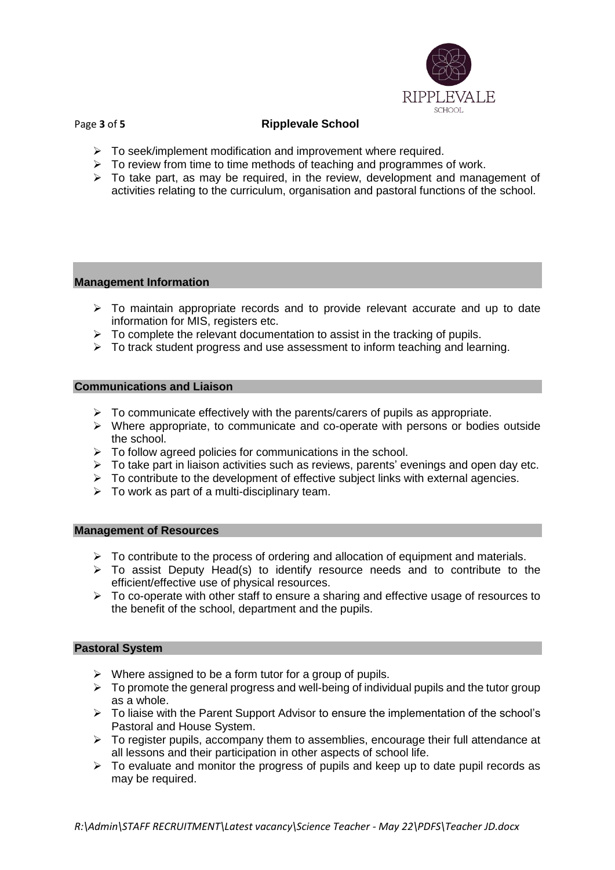

# Page **3** of **5 Ripplevale School**

- ➢ To seek/implement modification and improvement where required.
- $\triangleright$  To review from time to time methods of teaching and programmes of work.
- $\triangleright$  To take part, as may be required, in the review, development and management of activities relating to the curriculum, organisation and pastoral functions of the school.

## **Management Information**

- ➢ To maintain appropriate records and to provide relevant accurate and up to date information for MIS, registers etc.
- $\triangleright$  To complete the relevant documentation to assist in the tracking of pupils.
- ➢ To track student progress and use assessment to inform teaching and learning.

## **Communications and Liaison**

- $\triangleright$  To communicate effectively with the parents/carers of pupils as appropriate.
- $\triangleright$  Where appropriate, to communicate and co-operate with persons or bodies outside the school.
- ➢ To follow agreed policies for communications in the school.
- ➢ To take part in liaison activities such as reviews, parents' evenings and open day etc.
- $\triangleright$  To contribute to the development of effective subject links with external agencies.
- $\triangleright$  To work as part of a multi-disciplinary team.

#### **Management of Resources**

- $\triangleright$  To contribute to the process of ordering and allocation of equipment and materials.
- ➢ To assist Deputy Head(s) to identify resource needs and to contribute to the efficient/effective use of physical resources.
- ➢ To co-operate with other staff to ensure a sharing and effective usage of resources to the benefit of the school, department and the pupils.

#### **Pastoral System**

- $\triangleright$  Where assigned to be a form tutor for a group of pupils.
- $\triangleright$  To promote the general progress and well-being of individual pupils and the tutor group as a whole.
- ➢ To liaise with the Parent Support Advisor to ensure the implementation of the school's Pastoral and House System.
- $\triangleright$  To register pupils, accompany them to assemblies, encourage their full attendance at all lessons and their participation in other aspects of school life.
- $\triangleright$  To evaluate and monitor the progress of pupils and keep up to date pupil records as may be required.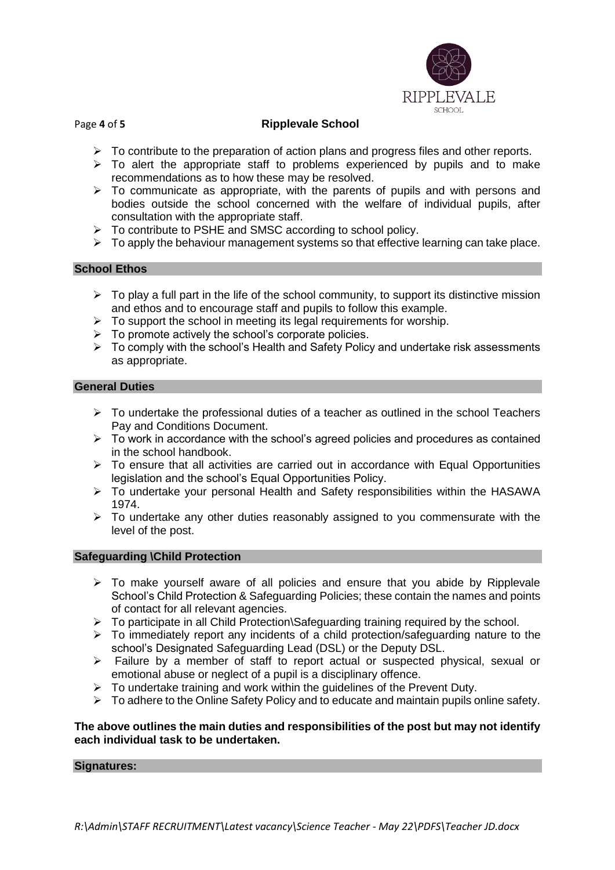

# Page **4** of **5 Ripplevale School**

- $\triangleright$  To contribute to the preparation of action plans and progress files and other reports.
- $\triangleright$  To alert the appropriate staff to problems experienced by pupils and to make recommendations as to how these may be resolved.
- $\triangleright$  To communicate as appropriate, with the parents of pupils and with persons and bodies outside the school concerned with the welfare of individual pupils, after consultation with the appropriate staff.
- ➢ To contribute to PSHE and SMSC according to school policy.
- ➢ To apply the behaviour management systems so that effective learning can take place.

## **School Ethos**

- $\triangleright$  To play a full part in the life of the school community, to support its distinctive mission and ethos and to encourage staff and pupils to follow this example.
- $\triangleright$  To support the school in meeting its legal requirements for worship.
- $\triangleright$  To promote actively the school's corporate policies.
- ➢ To comply with the school's Health and Safety Policy and undertake risk assessments as appropriate.

## **General Duties**

- $\triangleright$  To undertake the professional duties of a teacher as outlined in the school Teachers Pay and Conditions Document.
- ➢ To work in accordance with the school's agreed policies and procedures as contained in the school handbook.
- $\triangleright$  To ensure that all activities are carried out in accordance with Equal Opportunities legislation and the school's Equal Opportunities Policy.
- ➢ To undertake your personal Health and Safety responsibilities within the HASAWA 1974.
- $\triangleright$  To undertake any other duties reasonably assigned to you commensurate with the level of the post.

#### **Safeguarding \Child Protection**

- $\geq$  To make vourself aware of all policies and ensure that you abide by Ripplevale School's Child Protection & Safeguarding Policies; these contain the names and points of contact for all relevant agencies.
- ➢ To participate in all Child Protection\Safeguarding training required by the school.
- ➢ To immediately report any incidents of a child protection/safeguarding nature to the school's Designated Safeguarding Lead (DSL) or the Deputy DSL.
- ➢ Failure by a member of staff to report actual or suspected physical, sexual or emotional abuse or neglect of a pupil is a disciplinary offence.
- $\triangleright$  To undertake training and work within the quidelines of the Prevent Duty.
- $\triangleright$  To adhere to the Online Safety Policy and to educate and maintain pupils online safety.

## **The above outlines the main duties and responsibilities of the post but may not identify each individual task to be undertaken.**

#### **Signatures:**